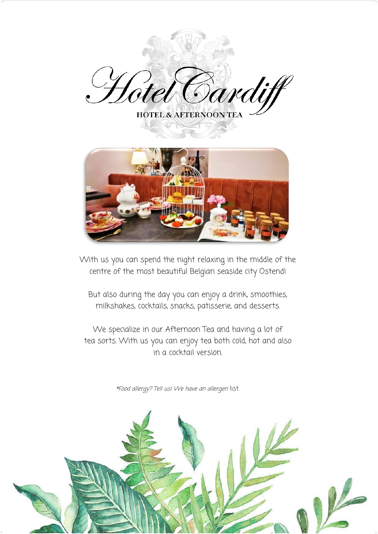



With us you can spend the night relaxing in the middle of the centre of the most beautiful Belgian seaside city Ostend!

But also during the day you can enjoy a drink, smoothies, milkshakes, cocktails, snacks, patisserie, and desserts.

We specialize in our Afternoon Tea and having a lot of tea sorts. With us you can enjoy tea both cold, hot and also in a cocktail version.

\*Food allergy? Tell us! We have an allergen list.

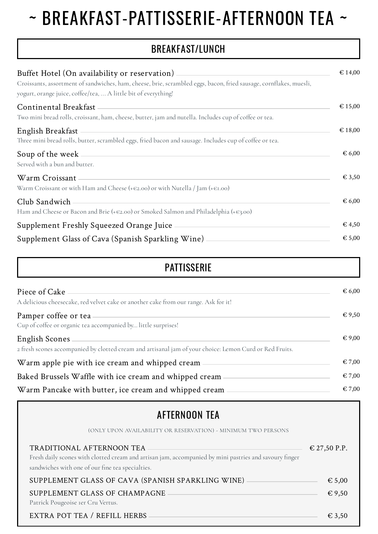# ~ BREAKFAST-PATTISSERIE-AFTERNOON TEA ~

## BREAKFAST/LUNCH

| Buffet Hotel (On availability or reservation).<br>Croissants, assortment of sandwiches, ham, cheese, brie, scrambled eggs, bacon, fried sausage, cornflakes, muesli,<br>yogurt, orange juice, coffee/tea,  A little bit of everything! | $\epsilon$ 14,00 |
|----------------------------------------------------------------------------------------------------------------------------------------------------------------------------------------------------------------------------------------|------------------|
| Continental Breakfast<br>Two mini bread rolls, croissant, ham, cheese, butter, jam and nutella. Includes cup of coffee or tea.                                                                                                         | € 15,00          |
| English Breakfast<br>Three mini bread rolls, butter, scrambled eggs, fried bacon and sausage. Includes cup of coffee or tea.                                                                                                           | $\epsilon$ 18,00 |
| Soup of the week<br>Served with a bun and butter.                                                                                                                                                                                      | $\epsilon$ 6,00  |
| Warm Croissant<br>Warm Croissant or with Ham and Cheese (+ $\epsilon$ 2.00) or with Nutella / Jam (+ $\epsilon$ 1.00)                                                                                                                  | $\epsilon$ 3,50  |
| Club Sandwich<br>Ham and Cheese or Bacon and Brie (+ $\epsilon$ 2.00) or Smoked Salmon and Philadelphia (+ $\epsilon$ 3.00)                                                                                                            | $\epsilon$ 6,00  |
| Supplement Freshly Squeezed Orange Juice                                                                                                                                                                                               | $\epsilon$ 4,50  |
| Supplement Glass of Cava (Spanish Sparkling Wine)                                                                                                                                                                                      | € 5,00           |

| <b>PATTISSERIE</b>                                                                                                               |                 |
|----------------------------------------------------------------------------------------------------------------------------------|-----------------|
| Piece of Cake<br>A delicious cheesecake, red velvet cake or another cake from our range. Ask for it!                             | $\epsilon$ 6,00 |
| Pamper coffee or tea<br>Cup of coffee or organic tea accompanied by little surprises!                                            | $\epsilon$ 9,50 |
| <b>English Scones</b><br>2 fresh scones accompanied by clotted cream and artisanal jam of your choice: Lemon Curd or Red Fruits. | € 9,00          |
| Warm apple pie with ice cream and whipped cream                                                                                  | $\epsilon$ 7,00 |
| Baked Brussels Waffle with ice cream and whipped cream                                                                           | $\epsilon$ 7,00 |
| Warm Pancake with butter, ice cream and whipped cream                                                                            | $\epsilon$ 7,00 |

## AFTERNOON TEA

| (ONLY UPON AVAILABILITY OR RESERVATION) - MINIMUM TWO PERSONS                                                                                                                           |                 |
|-----------------------------------------------------------------------------------------------------------------------------------------------------------------------------------------|-----------------|
| TRADITIONAL AFTERNOON TEA<br>Fresh daily scones with clotted cream and artisan jam, accompanied by mini pastries and savoury finger<br>sandwiches with one of our fine tea specialties. | € 27,50 P.P.    |
| SUPPLEMENT GLASS OF CAVA (SPANISH SPARKLING WINE) -                                                                                                                                     | $\epsilon$ 5,00 |
| SUPPLEMENT GLASS OF CHAMPAGNE<br>Patrick Pougeoise Ier Cru Vertus.                                                                                                                      | $\epsilon$ 9,50 |
| EXTRA POT TEA / REFILL HERBS                                                                                                                                                            | $\epsilon$ 3,50 |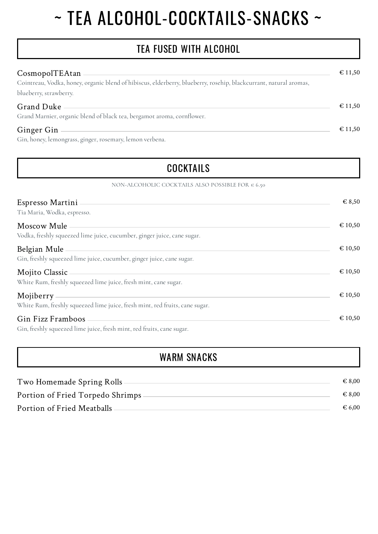# ~ TEA ALCOHOL-COCKTAILS-SNACKS ~

## TEA FUSED WITH ALCOHOL

| CosmopolTEAtan                                                                                                    | $\epsilon$ 11,50 |
|-------------------------------------------------------------------------------------------------------------------|------------------|
| Cointreau, Vodka, honey, organic blend of hibiscus, elderberry, blueberry, rosehip, blackcurrant, natural aromas, |                  |
| blueberry, strawberry.                                                                                            |                  |
| Grand Duke                                                                                                        | $\epsilon$ 11,50 |
| Grand Marnier, organic blend of black tea, bergamot aroma, cornflower.                                            |                  |
| Ginger Gin                                                                                                        | $\epsilon$ 11,50 |
| Cin bonou lamongraec gingar rocamany lamon yarbana                                                                |                  |

Gin, honey, lemongrass, ginger, rosemary, lemon verbena.

## **COCKTAILS**

NON-ALCOHOLIC COCKTAILS ALSO POSSIBLE FOR  $\in$  6.50

| Espresso Martini<br>Tia Maria, Wodka, espresso.                                            | $\epsilon$ 8,50  |
|--------------------------------------------------------------------------------------------|------------------|
| Moscow Mule<br>Vodka, freshly squeezed lime juice, cucumber, ginger juice, cane sugar.     | $\epsilon$ 10,50 |
| Belgian Mule<br>Gin, freshly squeezed lime juice, cucumber, ginger juice, cane sugar.      | $\epsilon$ 10,50 |
| Mojito Classic<br>White Rum, freshly squeezed lime juice, fresh mint, cane sugar.          | $\epsilon$ 10,50 |
| Mojiberry<br>White Rum, freshly squeezed lime juice, fresh mint, red fruits, cane sugar.   | $\epsilon$ 10,50 |
| Gin Fizz Framboos<br>Gin, freshly squeezed lime juice, fresh mint, red fruits, cane sugar. | $\epsilon$ 10,50 |

### WARM SNACKS

| Two Homemade Spring Rolls        | $\epsilon$ 8.00 |
|----------------------------------|-----------------|
| Portion of Fried Torpedo Shrimps | $\epsilon$ 8.00 |
| Portion of Fried Meatballs       | € 6.00          |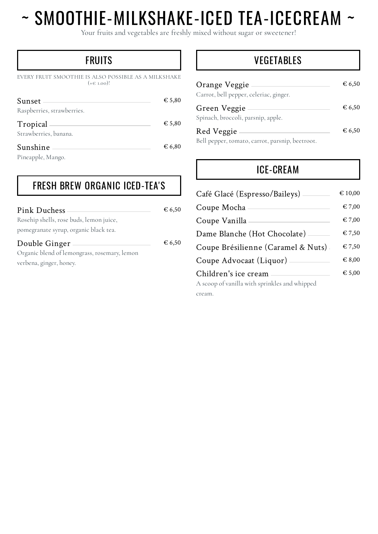# ~ SMOOTHIE-MILKSHAKE-ICED TEA-ICECREAM ~

Your fruits and vegetables are freshly mixed without sugar or sweetener!

## **FRUITS**

EVERY FRUIT SMOOTHIE IS ALSO POSSIBLE AS A MILKSHAKE  $(+e i.00)!$ 

| Sunset<br>Raspberries, strawberries.               | $\epsilon$ 5,80 |
|----------------------------------------------------|-----------------|
| Tropical<br>Strawberries, banana.                  | $\epsilon$ 5,80 |
| Sunshine<br>$D: \ldots$ . $\ldots$ $I = M: \ldots$ | € 6,80          |

Pineapple, Mango.

## FRESH BREW ORGANIC ICED-TEA'S

| Pink Duchess                                 | $\epsilon$ 6,50 |
|----------------------------------------------|-----------------|
| Rosehip shells, rose buds, lemon juice,      |                 |
| pomegranate syrup, organic black tea.        |                 |
| Double Ginger                                | € 6,50          |
| Organic blend of lemongrass, rosemary, lemon |                 |
| verbena, ginger, honey.                      |                 |

### VEGETABLES

| Orange Veggie<br>Carrot, bell pepper, celeriac, ginger.       | € 6,50 |
|---------------------------------------------------------------|--------|
| Green Veggie<br>Spinach, broccoli, parsnip, apple.            | € 6,50 |
| Red Veggie<br>Bell pepper, tomato, carrot, parsnip, beetroot. | € 6,50 |

## ICE-CREAM

| Café Glacé (Espresso/Baileys)                 | $\epsilon$ 10,00 |
|-----------------------------------------------|------------------|
| Coupe Mocha                                   | $\epsilon$ 7.00  |
| Coupe Vanilla                                 | € 7,00           |
| Dame Blanche (Hot Chocolate)                  | $\epsilon$ 7,50  |
| Coupe Brésilienne (Caramel & Nuts)            | $\epsilon$ 7,50  |
| Coupe Advocaat (Liquor).                      | 6.8,00           |
| Children's ice cream                          | $\epsilon$ 5,00  |
| A scoop of vanilla with sprinkles and whipped |                  |

cream.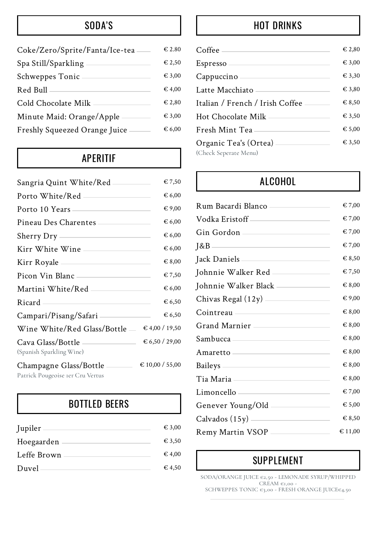## SODA'S

| Coke/Zero/Sprite/Fanta/Ice-tea | $\in$ 2.80      |
|--------------------------------|-----------------|
| Spa Still/Sparkling            | $\epsilon$ 2.50 |
| Schweppes Tonic                | $\epsilon$ 3,00 |
| Red Bull                       | $\epsilon$ 4,00 |
| Cold Chocolate Milk            | $\epsilon$ 2,80 |
| Minute Maid: Orange/Apple      | $\epsilon$ 3,00 |
| Freshly Squeezed Orange Juice  | $\epsilon$ 6,00 |
|                                |                 |

## APERITIF

| Sangria Quint White/Red ————                                     | € 7,50          |
|------------------------------------------------------------------|-----------------|
|                                                                  | € 6,00          |
| Porto 10 Years                                                   | € 9,00          |
| Pineau Des Charentes                                             | € 6,00          |
|                                                                  | € 6,00          |
|                                                                  | € 6,00          |
|                                                                  | $\epsilon$ 8,00 |
| Picon Vin Blanc                                                  | € 7,50          |
| Martini White/Red                                                | € 6,00          |
| Ricard                                                           | € 6,50          |
| Campari/Pisang/Safari<br><u> 1980 - Johann Barbara, martxa a</u> | € 6,50          |
| Wine White/Red Glass/Bottle -                                    | € 4,00 / 19,50  |
| Cava Glass/Bottle<br>(Spanish Sparkling Wine)                    | € 6,50 / 29,00  |
| Champagne Glass/Bottle<br>Detrick Dougooise For Cry Vartue       | € 10,00 / 55,00 |

#### Patrick Pougeoise 1er Cru Vertus

## BOTTLED BEERS

| Jupiler     | $\epsilon$ 3,00 |
|-------------|-----------------|
| Hoegaarden  | $\epsilon$ 3.50 |
| Leffe Brown | $\epsilon$ 4,00 |
| Duvel -     | $\in$ 4.50      |

## HOT DRINKS

| $Coffee$ —                                       | $\epsilon$ 2,80 |
|--------------------------------------------------|-----------------|
| $Espreso$ —                                      | € 3,00          |
| Cappuccino-                                      | € 3,30          |
| Latte Macchiato                                  | $\epsilon$ 3,80 |
| Italian / French / Irish Coffee -                | $\epsilon$ 8,50 |
| Hot Chocolate Milk —                             | € 3,50          |
| Fresh Mint Tea                                   | € 5,00          |
| Organic Tea's (Ortea) —<br>(Check Seperate Menu) | € 3,50          |

## ALCOHOL

| Rum Bacardi Blanco                                                                                                                                                                                                                   | $\epsilon$ 7,00 |
|--------------------------------------------------------------------------------------------------------------------------------------------------------------------------------------------------------------------------------------|-----------------|
| Vodka Eristoff ____________________                                                                                                                                                                                                  | € 7,00          |
| Gin Gordon                                                                                                                                                                                                                           | € 7,00          |
|                                                                                                                                                                                                                                      | € 7,00          |
|                                                                                                                                                                                                                                      | € 8,50          |
| Johnnie Walker Red                                                                                                                                                                                                                   | € 7,50          |
| Johnnie Walker Black _____________                                                                                                                                                                                                   | € 8,00          |
|                                                                                                                                                                                                                                      | € 9,00          |
| Cointreau et al. 2010 and 2010 and 2010 and 2010 and 2010 and 2010 and 2010 and 2010 and 2010 and 2010 and 201                                                                                                                       | € 8,00          |
| Grand Marnier ___________________                                                                                                                                                                                                    | € 8,00          |
| Sambucca entertainment and the samples of the samples of the samples of the samples of the samples of the samples of the samples of the samples of the samples of the samples of the samples of the samples of the samples of        | € 8,00          |
| Amaretto —————————————                                                                                                                                                                                                               | $\in 8,00$      |
| Baileys <u>and the set of the set of the set of the set of the set of the set of the set of the set of the set of the set of the set of the set of the set of the set of the set of the set of the set of the set of the set of </u> | € 8,00          |
| Tia Maria <u>____________________________</u>                                                                                                                                                                                        | € 8,00          |
| Limoncello                                                                                                                                                                                                                           | € 7,00          |
| Genever Young/Old ____________                                                                                                                                                                                                       | € 5,00          |
|                                                                                                                                                                                                                                      | € 8,50          |
| Remy Martin VSOP                                                                                                                                                                                                                     | € 11,00         |

## SUPPLEMENT

SODA/ORANGE JUICE €2,50 - LEMONADE SYRUP/WHIPPED  $CREAM \varepsilon_{I,00}$  -SCHWEPPES TONIC €3,00 - FRESH ORANGE JUICE€4,50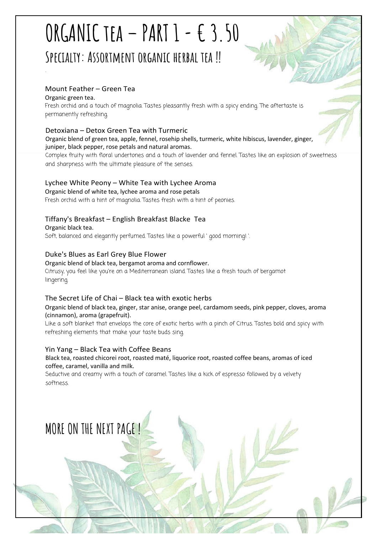## **ORGANIC tea – PART 1 - € 3.50 Specialty: Assortment organic herbal tea !!**

#### Mount Feather – Green Tea

Organic green tea.

.

Fresh orchid and a touch of magnolia. Tastes pleasantly fresh with a spicy ending. The aftertaste is permanently refreshing.

#### Detoxiana – Detox Green Tea with Turmeric

Organic blend of green tea, apple, fennel, rosehip shells, turmeric, white hibiscus, lavender, ginger, juniper, black pepper, rose petals and natural aromas.

Complex fruity with floral undertones and a touch of lavender and fennel. Tastes like an explosion of sweetness and sharpness with the ultimate pleasure of the senses.

#### Lychee White Peony – White Tea with Lychee Aroma

Organic blend of white tea, lychee aroma and rose petals Fresh orchid with a hint of magnolia. Tastes fresh with a hint of peonies.

#### Tiffany's Breakfast – English Breakfast Blacke Tea

Organic black tea. Soft, balanced and elegantly perfumed. Tastes like a powerful ' good morning! '.

#### Duke's Blues as Earl Grey Blue Flower

#### Organic blend of black tea, bergamot aroma and cornflower.

Citrusy, you feel like you're on a Mediterranean island. Tastes like a fresh touch of bergamot lingering.

#### The Secret Life of Chai – Black tea with exotic herbs

#### Organic blend of black tea, ginger, star anise, orange peel, cardamom seeds, pink pepper, cloves, aroma (cinnamon), aroma (grapefruit).

Like a soft blanket that envelops the core of exotic herbs with a pinch of Citrus. Tastes bold and spicy with refreshing elements that make your taste buds sing.

#### Yin Yang – Black Tea with Coffee Beans

Black tea, roasted chicorei root, roasted maté, liquorice root, roasted coffee beans, aromas of iced coffee, caramel, vanilla and milk.

Seductive and creamy with a touch of caramel. Tastes like a kick of espresso followed by a velvety softness.